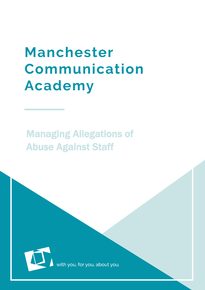# **Manchester** Communication **Academy**

# Managing Allegations of Abuse Against Staff



th you, for you, about you<mark>.</mark>

MCA  $\sim$  Allegations of Abuse Against Staff 1 and  $\sim$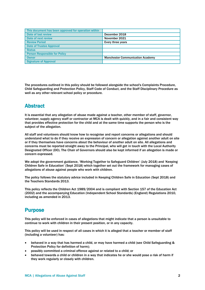| This document has been approved for operation within |                                         |
|------------------------------------------------------|-----------------------------------------|
| Date of last review                                  | December 2018                           |
| Date of next review                                  | November 2021                           |
| <b>Review Period</b>                                 | Every three years                       |
| <b>Date of Trustee Approval</b>                      |                                         |
| <b>Status</b>                                        |                                         |
| <b>Person Responsible for Policy</b>                 |                                         |
| <b>Owner</b>                                         | <b>Manchester Communication Academy</b> |
| <b>Signature of Approval</b>                         |                                         |

The procedures outlined in this policy should be followed alongside the school's Complaints Procedure, Child Safeguarding and Protection Policy, Staff Code of Conduct, and the Staff Disciplinary Procedure as well as any other relevant school policy or procedure.

#### Abstract

It is essential that any allegation of abuse made against a teacher, other member of staff, governor, volunteer, supply agency staff or contractor at MCA is dealt with quickly, and in a fair and consistent way that provides effective protection for the child and at the same time supports the person who is the subject of the allegation.

All staff and volunteers should know how to recognise and report concerns or allegations and should understand what to do if they receive an expression of concern or allegation against another adult on site or if they themselves have concerns about the behaviour of another adult on site. All allegations and concerns must be reported straight away to the Principal, who will get in touch with the Local Authority Designated Officer (DO). The Chair of Governors should also be kept informed if an allegation is made or concern expressed.

We adopt the government guidance, 'Working Together to Safeguard Children' (July 2018) and 'Keeping Children Safe in Education' (Sept 2018) which together set out the framework for managing cases of allegations of abuse against people who work with children.

The policy follows the statutory advice included in Keeping Children Safe in Education (Sept 2018) and the Teachers Standards 2013.

This policy reflects the Children Act 1989/2004 and is compliant with Section 157 of the Education Act (2002) and the accompanying Education (Independent School Standards) (England) Regulations 2010, including as amended in 2013.

#### Purpose

This policy will be enforced in cases of allegations that might indicate that a person is unsuitable to continue to work with children in their present position, or in any capacity.

This policy will be used in respect of all cases in which it is alleged that a teacher or member of staff (including a volunteer) has:

- behaved in a way that has harmed a child, or may have harmed a child (see Child Safeguarding & Protection Policy for definition of harm);
- possibly committed a criminal offence against or related to a child; or
- behaved towards a child or children in a way that indicates he or she would pose a risk of harm if they work regularly or closely with children.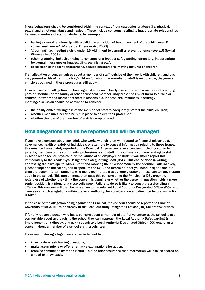These behaviours should be considered within the context of four categories of abuse (i.e. physical, sexual and emotional abuse and neglect). These include concerns relating to inappropriate relationships between members of staff or students, for example:

- having a sexual relationship with a child if in a position of trust in respect of that child, even if consensual (see ss16-19 Sexual Offences Act 2003);
- 'grooming', i.e. meeting a child under 16 with intent to commit a relevant offence (see s15 Sexual Offences Act 2003);
- other 'grooming' behaviour rising to concerns of a broader safeguarding nature (e.g. inappropriate text/email messages or images, gifts, socialising etc.);
- possession of indecent photographs/pseudo-photographs/moving pictures of children.

If an allegation or concern arises about a member of staff, outside of their work with children, and this may present a risk of harm to child/children for whom the member of staff is responsible, the general principles outlined in these procedures still apply.

In some cases, an allegation of abuse against someone closely associated with a member of staff (e.g. partner, member of the family or other household member) may present a risk of harm to a child or children for whom the member of staff is responsible. In these circumstances, a strategy meeting/discussion should be convened to consider:

- the ability and/or willingness of the member of staff to adequately protect the child/children;
- whether measures need to be put in place to ensure their protection;
- whether the role of the member of staff is compromised.

### How allegations should be reported and will be managed

If you have a concern about any adult who works with children with regard to financial misconduct, governance, health or safety of individuals or attempts to conceal information relating to these issues, this must be immediately reported to the Principal. Anyone can raise a concern, including students, parents, members of the community, professionals and staff. If you have a concern relating to staff misconduct or sexual, physical or verbal abuse of an employee or student you should report this immediately to the Academy's Designated Safeguarding Lead (DSL). This can be done in writing, addressing the envelope to 'Mrs A Grant and marking the envelope 'Strictly Confidential'. Alternatively, please telephone the school, ask to speak to the DSL, and inform her that you need to speak about a child protection matter. Students who feel uncomfortable about doing either of these can tell any trusted adult in the school. This person must then pass this concern on to the Principal or DSL urgently, regardless of whether they think the concern is genuine or whether the person in question holds a more senior position, is a friend or a close colleague. Failure to do so is likely to constitute a disciplinary offence. This concern will then be passed on to the relevant Local Authority Designated Officer (DO), who oversees all such allegations within the local authority, for consideration and direction before any action is taken.

In the case of the allegation being against the Principal, the concern should be reported to Chair of Governors at MCA/MCPA or directly to the Local Authority Designated Officer (DO) Children's Services.

If for any reason a person who has a concern about a member of staff or volunteer at the school is not comfortable about approaching the school they can approach the Local Authority Safeguarding & Improvement Unit directly, and ask to speak to a Local Authority Designated Officer (DO) regarding a concern about a member of a school staff/ a volunteer.

Those encountering allegations are reminded not to:

- investigate or ask leading questions;
- make assumptions or offer alternative explanations for action;
- promise confidentiality to the victim but do offer assurance that information will only be shared on a need to know basis.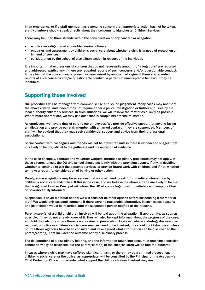In an emergency, or if a staff member has a genuine concern that appropriate action has not be taken, staff/volunteers should speak directly about their concerns to Manchester Children Services

There may be up to three strands within the consideration of any concern or allegation:

- a police investigation of a possible criminal offence;
- enquiries and assessment by children's social care about whether a child is in need of protection or in need of services;
- consideration by the school of disciplinary action in respect of the individual.

It is important that expressions of concern that do not necessarily amount to "allegations" are reported and addressed, particularly if there are repeated reports of such concerns and/or questionable conduct. It may be that the concern you express has been raised by another colleague. If there are repeated reports of such concerns and/or questionable conduct, a pattern of unacceptable behaviour may be identified.

#### Supporting those involved

Our procedures will be managed with common sense and sound judgement. Many cases may not meet the above criteria, and indeed may not require either a police investigation or further enquiries by the local authority children's services. In such situations, we will resolve the matter as quickly as possible. Where more appropriate, we may use our school's complaints procedure instead.

As employers, we have a duty of care to our employees. We provide effective support for anyone facing an allegation and provide our staff member with a named contact if they are suspended. Members of staff will be advised that they may seek confidential support and advice from their professional associations.

Social contact with colleagues and friends will not be prevented unless there is evidence to suggest that it is likely to be prejudicial to the gathering and presentation of evidence.

In the case of supply, contract and volunteer workers, normal disciplinary procedures may not apply. In these circumstances, the DO and school should act jointly with the providing agency, if any, in deciding whether to continue to use the person's services, or provide future work with children, and if not, whether to make a report for consideration of barring or other action.

Rarely, some allegations may be so serious that we may need to ask for immediate intervention by children's social care and/police. If this is the case, and we believe the above criteria are likely to be met, the Designated Lead or Principal will inform the DO of such allegations immediately and keep the Chair of Governors fully informed.

Suspension is never a default option; we will consider all other options before suspending a member of staff. We would only suspend someone if there were no reasonable alternative. In such cases, reasons and justification would be recorded, and the suspended person notified of the reasons.

Parent/carer(s) of a child or children involved will be told about the allegation, if appropriate, as soon as possible, if they do not already know of it. They will also be kept informed about the progress of the case, and told the outcome where there is not a criminal prosecution. However, where a strategy discussion is required, or police or children's social care services need to be involved, this should not take place unless or until those agencies have been consulted and have agreed what information can be disclosed to the parent/carer(s). That includes the outcome of any disciplinary process.

The deliberations of a disciplinary hearing, and the information taken into account in reaching a decision, cannot normally be disclosed, but the parent/carer(s) of the child/children will be told the outcome.

In cases where a child may have suffered significant harm, or there may be a criminal prosecution, children's social care, or the police, as appropriate, will be consulted by the Principal or the Academy's Child Protection Officer to consider what support the child or children involved may need.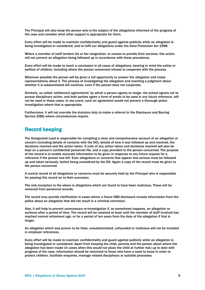The Principal will also keep the person who is the subject of the allegations informed of the progress of the case and consider what other support is appropriate for them.

Every effort will be made to maintain confidentiality and guard against publicity while an allegation is being investigated or considered, and to fulfil our obligations under the Data Protection Act 1998.

Where a member of staff tenders his or her resignation, or ceases to provide their services, this action will not prevent an allegation being followed up in accordance with these procedures.

Every effort will be made to reach a conclusion in all cases of allegations, bearing in mind the safety or welfare of children, including where the person concerned refuses to cooperate with the process.

Wherever possible the person will be given a full opportunity to answer the allegation and make representations about it. The process of investigating the allegation and reaching a judgment about whether it is substantiated will continue, even if the person does not cooperate.

Similarly, so called 'settlement agreements' by which a person agrees to resign, the school agrees not to pursue disciplinary action, and both parties agree a form of words to be used in any future reference, will not be used in these cases. In any event, such an agreement would not prevent a thorough police investigation where that is appropriate.

Furthermore, it will not override the statutory duty to make a referral to the Disclosure and Barring Service (DBS) where circumstances require.

#### Record keeping

The Designated Lead is responsible for compiling a clear and comprehensive account of an allegation or concern (including details of contacts with the DO), details of how it was followed up and resolved, the decisions reached and the action taken. A note of any action taken and decisions reached will also be kept on a person's confidential personnel file, and a copy provided to the person concerned. The purpose of the record is to enable accurate information to be given in response to any future request for a reference if the person has left. Even allegations or concerns that appear less serious must be followed up and taken seriously, before being considered by the DO. Again a copy of the record must be given to the person concerned.

A central record of all allegations or concerns must be securely held by the Principal who is responsible for passing this record on to their successor.

The only exception to the above is allegations which are found to have been malicious. These will be removed from personnel records.

The record may provide clarification in cases where a future DBS disclosure reveals information from the police about an allegation that did not result in a criminal conviction.

Also, it will help to prevent unnecessary re-investigation if, as sometimes happens, an allegation resurfaces after a period of time. The record will be retained at least until the member of staff involved has reached normal retirement age, or for a period of ten years from the date of the allegation if that is longer.

An allegation which was proven to be false, unsubstantiated, unfounded or malicious will not be included in employer references.

Every effort will be made to maintain confidentiality and guard against publicity while an allegation is being investigated or considered. Apart from keeping the child, parents and the person about whom the allegation has been made (in cases when this would not place the child at further risk) up to date with progress of the case, information should be restricted to those who have a need to know in order to protect children, facilitate enquiries, manage related disciplinary or suitable processes.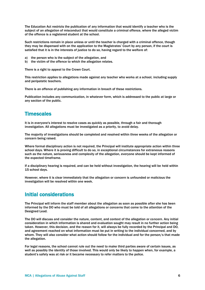The Education Act restricts the publication of any information that would identify a teacher who is the subject of an allegation of misconduct that would constitute a criminal offence, where the alleged victim of the offence is a registered student at the school.

Such restrictions remain in place unless or until the teacher is charged with a criminal offence, though they may be dispensed with on the application to the Magistrates' Court by any person, if the court is satisfied that it is in the interests of justice to do so, having regard to the welfare of:

- a) the person who is the subject of the allegation, and
- b) the victim of the offence to which the allegation relates.

There is a right to appeal to the Crown Court.

This restriction applies to allegations made against any teacher who works at a school, including supply and peripatetic teachers.

There is an offence of publishing any information in breach of these restrictions.

Publication includes any communication, in whatever form, which is addressed to the public at large or any section of the public.

#### **Timescales**

It is in everyone's interest to resolve cases as quickly as possible, through a fair and thorough investigation. All allegations must be investigated as a priority, to avoid delay.

The majority of investigations should be completed and resolved within three weeks of the allegation or concern being raised.

Where formal disciplinary action is not required, the Principal will institute appropriate action within three school days. Where it is proving difficult to do so, in exceptional circumstances for extraneous reasons such as the nature, seriousness and complexity of the allegation, everyone should be kept informed of the expected timeframe.

If a disciplinary hearing is required, and can be held without investigation, the hearing will be held within 15 school days.

However, where it is clear immediately that the allegation or concern is unfounded or malicious the investigation will be resolved within one week.

#### Initial considerations

The Principal will inform the staff member about the allegation as soon as possible after she has been informed by the DO who must be told of all allegations or concerns that come to the attention of the Designed Lead.

The DO will discuss and consider the nature, content, and context of the allegation or concern. Any initial consideration in which information is shared and evaluation sought may result in no further action being taken. However, this decision, and the reason for it, will always be fully recorded by the Principal and DO, and agreement reached on what information must be put in writing to the individual concerned, and by whom. They will also consider what action should follow for the individual and for the person/s that made the allegation.

For legal reasons, the school cannot rule out the need to make third parties aware of certain issues, as well as possibly the identity of those involved. This would only be likely to happen when, for example, a student's safety was at risk or it became necessary to refer matters to the police.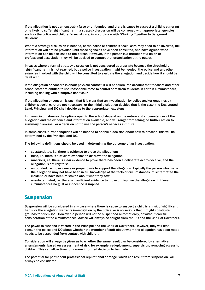If the allegation is not demonstrably false or unfounded, and there is cause to suspect a child is suffering or is likely to suffer significant harm, a strategy discussion will be convened with appropriate agencies, such as the police and children's social care, in accordance with "Working Together to Safeguard Children".

Where a strategy discussion is needed, or the police or children's social care may need to be involved, full information will not be provided until those agencies have been consulted, and have agreed what information can be disclosed to the person. However, if the person is a member of a union or professional association they will be advised to contact that organisation at the outset.

In cases where a formal strategy discussion is not considered appropriate because the threshold of 'significant harm' is not reached, but a police investigation might be needed, the police and any other agencies involved with the child will be consulted to evaluate the allegation and decide how it should be dealt with.

If the allegation or concern is about physical contact, it will be taken into account that teachers and other school staff are entitled to use reasonable force to control or restrain students in certain circumstances, including dealing with disruptive behaviour.

If the allegation or concern is such that it is clear that an investigation by police and/or enquiries by children's social care are not necessary, or the initial evaluation decides that is the case, the Designated Lead, Principal and DO shall decide as to the appropriate next steps.

In these circumstances the options open to the school depend on the nature and circumstances of the allegation and the evidence and information available, and will range from taking no further action to summary dismissal, or a decision not to use the person's services in future.

In some cases, further enquiries will be needed to enable a decision about how to proceed; this will be determined by the Principal and DO.

The following definitions should be used in determining the outcome of an investigation:

- substantiated, i.e. there is evidence to prove the allegation;
- false, i.e. there is sufficient evidence to disprove the allegation;
- malicious, i.e. there is clear evidence to prove there has been a deliberate act to deceive, and the allegation is entirely false;
- unfounded, i.e. no evidence or proper basis to support the allegation. Typically the person who made the allegation may not have been in full knowledge of the facts or circumstances, misinterpreted the incident, or have been mistaken about what they saw;
- unsubstantiated, i.e. there is insufficient evidence to prove or disprove the allegation. In these circumstances no guilt or innocence is implied.

#### Suspension

Suspension will be considered in any case where there is cause to suspect a child is at risk of significant harm, or the allegation warrants investigation by the police, or is so serious that it might constitute grounds for dismissal. However, a person will not be suspended automatically, or without careful consideration of the circumstances. Advice will always be sought from the DO and the Chair of Governors.

The power to suspend is vested in the Principal and the Chair of Governors. However, they will first consult the police and DO about whether the member of staff about whom the allegation has been made needs to be suspended from contact with children.

Consideration will always be given as to whether the same result can be considered by alternative arrangements, based on assessment of risk, for example, redeployment, supervision, removing access to children. This can allow time for a more informed decision to be made.

The potential for permanent professional reputational damage, which can result from suspension, will always be considered.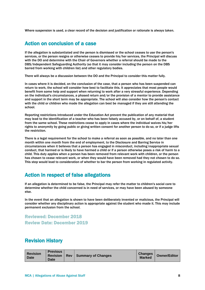Where suspension is used, a clear record of the decision and justification or rationale is always taken.

#### Action on conclusion of a case

If the allegation is substantiated and the person is dismissed or the school ceases to use the person's services, or the person resigns or otherwise ceases to provide his/her services, the Principal will discuss with the DO and determine with the Chair of Governors whether a referral should be made to the DBS/Independent Safeguarding Authority (so that it may consider including the person on the DBS barred from working with children list) and other regulatory bodies.

There will always be a discussion between the DO and the Principal to consider this matter fully.

In cases where it is decided, on the conclusion of the case, that a person who has been suspended can return to work, the school will consider how best to facilitate this. It appreciates that most people would benefit from some help and support when returning to work after a very stressful experience. Depending on the individual's circumstances, a phased return and/or the provision of a mentor to provide assistance and support in the short term may be appropriate. The school will also consider how the person's contact with the child or children who made the allegation can best be managed if they are still attending the school.

Reporting restrictions introduced under the Education Act prevent the publication of any material that may lead to the identification of a teacher who has been falsely accused by, or on behalf of, a student from the same school. These restrictions cease to apply in cases where the individual waives his/her rights to anonymity by going public or giving written consent for another person to do so, or if a judge lifts the restriction.

There is a legal requirement for the school to make a referral as soon as possible, and no later than one month within one month from the end of employment, to the Disclosure and Barring Service in circumstances when it believes that a person has engaged in misconduct, including inappropriate sexual conduct, that harmed or is likely to have harmed a child or if a person otherwise poses a risk of harm to a child. This duty applies when a person has been removed from relevant work with children, or the person has chosen to cease relevant work, or when they would have been removed had they not chosen to do so. This step would lead to consideration of whether to bar the person from working in regulated activity.

## Action in respect of false allegations

If an allegation is determined to be false, the Principal may refer the matter to children's social care to determine whether the child concerned is in need of services, or may have been abused by someone else.

In the event that an allegation is shown to have been deliberately invented or malicious, the Principal will consider whether any disciplinary action is appropriate against the student who made it. This may include permanent exclusion from the school.

Reviewed: December 2018 Review Date: December 2019

#### Revision History

| <b>Revision</b><br><b>Date</b> | <b>Previous</b><br><b>Revision   Rev.</b><br>Date |  | Summary of Changes | <b>Changes</b><br><b>Marked</b> | <b>Owner/Editor</b> |
|--------------------------------|---------------------------------------------------|--|--------------------|---------------------------------|---------------------|
|--------------------------------|---------------------------------------------------|--|--------------------|---------------------------------|---------------------|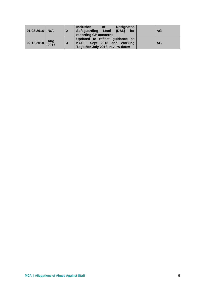| $01.08.2016$ N/A |             | $\overline{2}$ | <b>Designated</b><br><b>Inclusion</b><br><b>of</b><br>(DSL)<br>Safeguarding Lead<br>for<br>reporting CP concerns | <b>AG</b> |
|------------------|-------------|----------------|------------------------------------------------------------------------------------------------------------------|-----------|
| 02.12.2018       | Aug<br>2017 | 3              | Updated to reflect guidance as<br>KCSIE Sept 2018 and Working<br>Together July 2018, review dates                | <b>AG</b> |